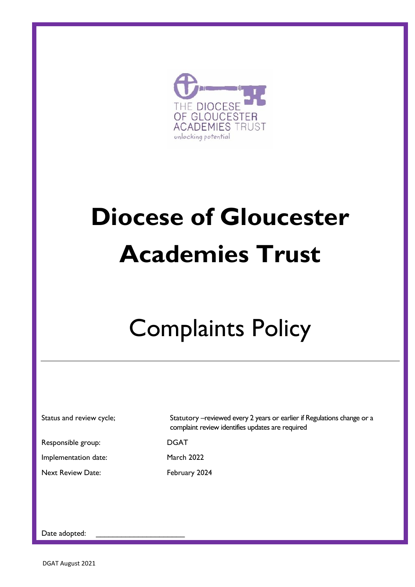

# **Diocese of Gloucester Academies Trust**

# Complaints Policy

Status and review cycle; Statutory –reviewed every 2 years or earlier if Regulations change or a complaint review identifies updates are required

Responsible group: DGAT

Implementation date: March 2022

Next Review Date: February 2024

Date adopted: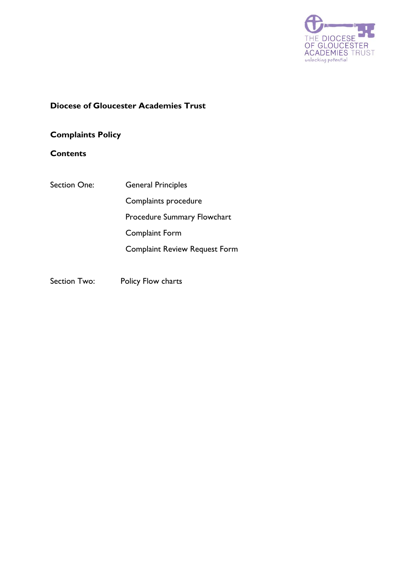

# **Diocese of Gloucester Academies Trust**

# **Complaints Policy**

#### **Contents**

| <b>Section One:</b> | <b>General Principles</b>            |
|---------------------|--------------------------------------|
|                     | Complaints procedure                 |
|                     | <b>Procedure Summary Flowchart</b>   |
|                     | <b>Complaint Form</b>                |
|                     | <b>Complaint Review Request Form</b> |
|                     |                                      |

Section Two: Policy Flow charts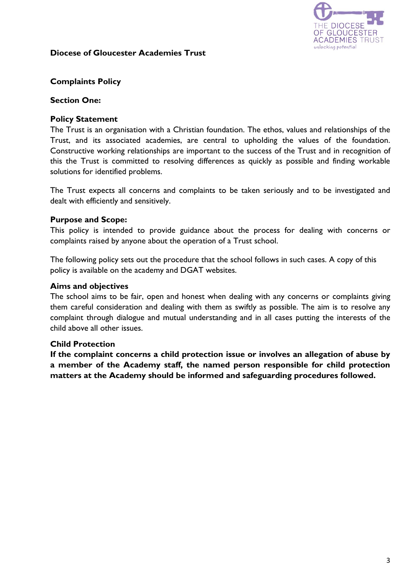

#### **Diocese of Gloucester Academies Trust**

#### **Complaints Policy**

#### **Section One:**

#### **Policy Statement**

The Trust is an organisation with a Christian foundation. The ethos, values and relationships of the Trust, and its associated academies, are central to upholding the values of the foundation. Constructive working relationships are important to the success of the Trust and in recognition of this the Trust is committed to resolving differences as quickly as possible and finding workable solutions for identified problems.

The Trust expects all concerns and complaints to be taken seriously and to be investigated and dealt with efficiently and sensitively.

#### **Purpose and Scope:**

This policy is intended to provide guidance about the process for dealing with concerns or complaints raised by anyone about the operation of a Trust school.

The following policy sets out the procedure that the school follows in such cases. A copy of this policy is available on the academy and DGAT websites.

#### **Aims and objectives**

The school aims to be fair, open and honest when dealing with any concerns or complaints giving them careful consideration and dealing with them as swiftly as possible. The aim is to resolve any complaint through dialogue and mutual understanding and in all cases putting the interests of the child above all other issues.

#### **Child Protection**

**If the complaint concerns a child protection issue or involves an allegation of abuse by a member of the Academy staff, the named person responsible for child protection matters at the Academy should be informed and safeguarding procedures followed.**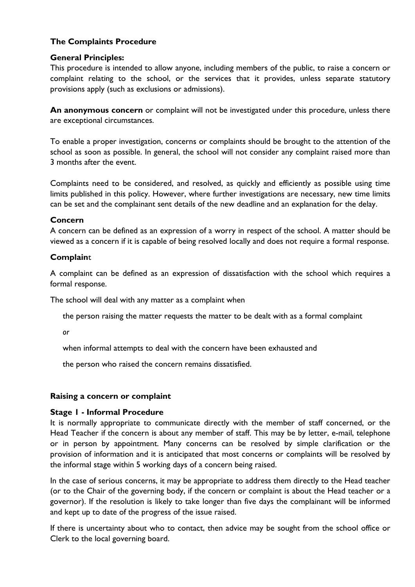#### **The Complaints Procedure**

#### **General Principles:**

This procedure is intended to allow anyone, including members of the public, to raise a concern or complaint relating to the school, or the services that it provides, unless separate statutory provisions apply (such as exclusions or admissions).

**An anonymous concern** or complaint will not be investigated under this procedure, unless there are exceptional circumstances.

To enable a proper investigation, concerns or complaints should be brought to the attention of the school as soon as possible. In general, the school will not consider any complaint raised more than 3 months after the event.

Complaints need to be considered, and resolved, as quickly and efficiently as possible using time limits published in this policy. However, where further investigations are necessary, new time limits can be set and the complainant sent details of the new deadline and an explanation for the delay.

#### **Concern**

A concern can be defined as an expression of a worry in respect of the school. A matter should be viewed as a concern if it is capable of being resolved locally and does not require a formal response.

#### **Complain**t

A complaint can be defined as an expression of dissatisfaction with the school which requires a formal response.

The school will deal with any matter as a complaint when

the person raising the matter requests the matter to be dealt with as a formal complaint

*or*

when informal attempts to deal with the concern have been exhausted and

the person who raised the concern remains dissatisfied.

#### **Raising a concern or complaint**

#### **Stage 1 - Informal Procedure**

It is normally appropriate to communicate directly with the member of staff concerned, or the Head Teacher if the concern is about any member of staff. This may be by letter, e-mail, telephone or in person by appointment. Many concerns can be resolved by simple clarification or the provision of information and it is anticipated that most concerns or complaints will be resolved by the informal stage within 5 working days of a concern being raised.

In the case of serious concerns, it may be appropriate to address them directly to the Head teacher (or to the Chair of the governing body, if the concern or complaint is about the Head teacher or a governor). If the resolution is likely to take longer than five days the complainant will be informed and kept up to date of the progress of the issue raised.

If there is uncertainty about who to contact, then advice may be sought from the school office or Clerk to the local governing board.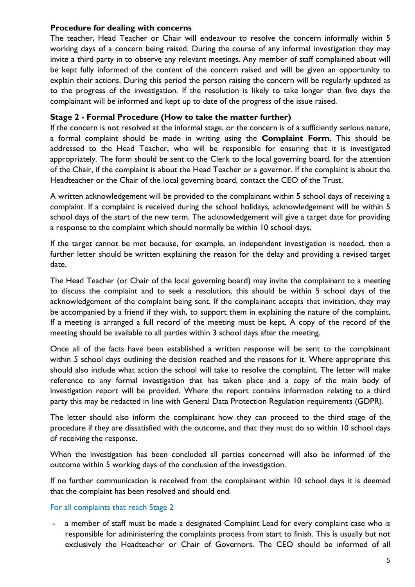#### **Procedure for dealing with concerns**

The teacher, Head Teacher or Chair will endeavour to resolve the concern informally within 5 working days of a concern being raised. During the course of any informal investigation they may invite a third party in to observe any relevant meetings. Any member of staff complained about will be kept fully informed of the content of the concern raised and will be given an opportunity to explain their actions. During this period the person raising the concern will be regularly updated as to the progress of the investigation. If the resolution is likely to take longer than five days the complainant will be informed and kept up to date of the progress of the issue raised.

#### **Stage 2 - Formal Procedure (How to take the matter further)**

If the concern is not resolved at the informal stage, or the concern is of a sufficiently serious nature, a formal complaint should be made in writing using the **Complaint Form**. This should be addressed to the Head Teacher, who will be responsible for ensuring that it is investigated appropriately. The form should be sent to the Clerk to the local governing board, for the attention of the Chair, if the complaint is about the Head Teacher or a governor. If the complaint is about the Headteacher or the Chair of the local governing board, contact the CEO of the Trust.

A written acknowledgement will be provided to the complainant within 5 school days of receiving a complaint. If a complaint is received during the school holidays, acknowledgement will be within 5 school days of the start of the new term. The acknowledgement will give a target date for providing a response to the complaint which should normally be within 10 school days.

If the target cannot be met because, for example, an independent investigation is needed, then a further letter should be written explaining the reason for the delay and providing a revised target date.

The Head Teacher (or Chair of the local governing board) may invite the complainant to a meeting to discuss the complaint and to seek a resolution, this should be within 5 school days of the acknowledgement of the complaint being sent. If the complainant accepts that invitation, they may be accompanied by a friend if they wish, to support them in explaining the nature of the complaint. If a meeting is arranged a full record of the meeting must be kept. A copy of the record of the meeting should be available to all parties within 3 school days after the meeting.

Once all of the facts have been established a written response will be sent to the complainant within 5 school days outlining the decision reached and the reasons for it. Where appropriate this should also include what action the school will take to resolve the complaint. The letter will make reference to any formal investigation that has taken place and a copy of the main body of investigation report will be provided. Where the report contains information relating to a third party this may be redacted in line with General Data Protection Regulation requirements (GDPR).

The letter should also inform the complainant how they can proceed to the third stage of the procedure if they are dissatisfied with the outcome, and that they must do so within 10 school days of receiving the response.

When the investigation has been concluded all parties concerned will also be informed of the outcome within 5 working days of the conclusion of the investigation.

If no further communication is received from the complainant within 10 school days it is deemed that the complaint has been resolved and should end.

#### For all complaints that reach Stage 2

a member of staff must be made a designated Complaint Lead for every complaint case who is responsible for administering the complaints process from start to finish. This is usually but not exclusively the Headteacher or Chair of Governors. The CEO should be informed of all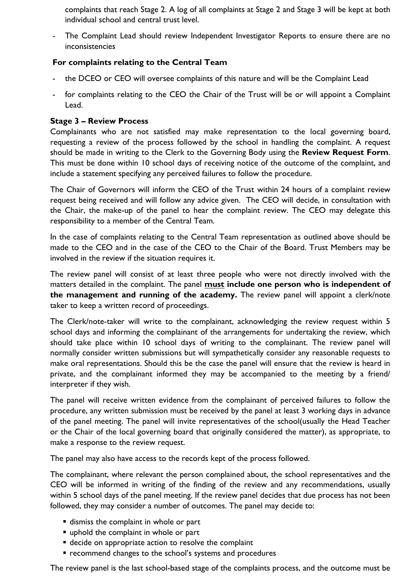complaints that reach Stage 2. A log of all complaints at Stage 2 and Stage 3 will be kept at both individual school and central trust level.

- The Complaint Lead should review Independent Investigator Reports to ensure there are no inconsistencies

#### **For complaints relating to the Central Team**

- the DCEO or CEO will oversee complaints of this nature and will be the Complaint Lead
- for complaints relating to the CEO the Chair of the Trust will be or will appoint a Complaint Lead.

#### **Stage 3 – Review Process**

Complainants who are not satisfied may make representation to the local governing board, requesting a review of the process followed by the school in handling the complaint. A request should be made in writing to the Clerk to the Governing Body using the **Review Request Form**. This must be done within 10 school days of receiving notice of the outcome of the complaint, and include a statement specifying any perceived failures to follow the procedure.

The Chair of Governors will inform the CEO of the Trust within 24 hours of a complaint review request being received and will follow any advice given. The CEO will decide, in consultation with the Chair, the make-up of the panel to hear the complaint review. The CEO may delegate this responsibility to a member of the Central Team.

In the case of complaints relating to the Central Team representation as outlined above should be made to the CEO and in the case of the CEO to the Chair of the Board. Trust Members may be involved in the review if the situation requires it.

The review panel will consist of at least three people who were not directly involved with the matters detailed in the complaint. The panel **must include one person who is independent of the management and running of the academy.** The review panel will appoint a clerk/note taker to keep a written record of proceedings.

The Clerk/note-taker will write to the complainant, acknowledging the review request within 5 school days and informing the complainant of the arrangements for undertaking the review, which should take place within 10 school days of writing to the complainant. The review panel will normally consider written submissions but will sympathetically consider any reasonable requests to make oral representations. Should this be the case the panel will ensure that the review is heard in private, and the complainant informed they may be accompanied to the meeting by a friend/ interpreter if they wish.

The panel will receive written evidence from the complainant of perceived failures to follow the procedure, any written submission must be received by the panel at least 3 working days in advance of the panel meeting. The panel will invite representatives of the school(usually the Head Teacher or the Chair of the local governing board that originally considered the matter), as appropriate, to make a response to the review request.

The panel may also have access to the records kept of the process followed.

The complainant, where relevant the person complained about, the school representatives and the CEO will be informed in writing of the finding of the review and any recommendations, usually within 5 school days of the panel meeting. If the review panel decides that due process has not been followed, they may consider a number of outcomes. The panel may decide to:

- **dismiss the complaint in whole or part**
- **uphold the complaint in whole or part**
- decide on appropriate action to resolve the complaint
- **•** recommend changes to the school's systems and procedures

The review panel is the last school-based stage of the complaints process, and the outcome must be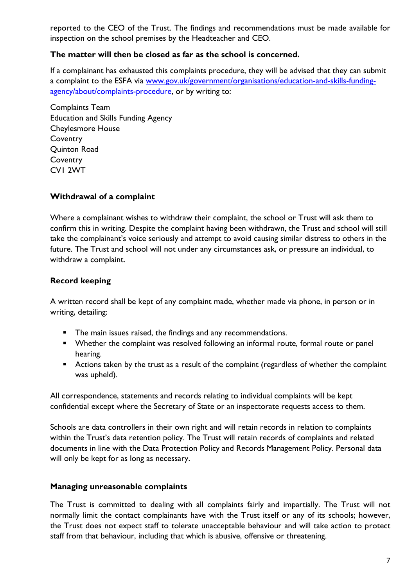reported to the CEO of the Trust. The findings and recommendations must be made available for inspection on the school premises by the Headteacher and CEO.

#### **The matter will then be closed as far as the school is concerned.**

If a complainant has exhausted this complaints procedure, they will be advised that they can submit a complaint to the ESFA via [www.gov.uk/government/organisations/education-and-skills-funding](http://www.gov.uk/government/organisations/education-and-skills-funding-agency/about/complaints-procedure)[agency/about/complaints-procedure,](http://www.gov.uk/government/organisations/education-and-skills-funding-agency/about/complaints-procedure) or by writing to:

Complaints Team Education and Skills Funding Agency Cheylesmore House **Coventry** Quinton Road **Coventry** CV1 2WT

#### **Withdrawal of a complaint**

Where a complainant wishes to withdraw their complaint, the school or Trust will ask them to confirm this in writing. Despite the complaint having been withdrawn, the Trust and school will still take the complainant's voice seriously and attempt to avoid causing similar distress to others in the future. The Trust and school will not under any circumstances ask, or pressure an individual, to withdraw a complaint.

#### **Record keeping**

A written record shall be kept of any complaint made, whether made via phone, in person or in writing, detailing:

- **The main issues raised, the findings and any recommendations.**
- **•** Whether the complaint was resolved following an informal route, formal route or panel hearing.
- **Actions taken by the trust as a result of the complaint (regardless of whether the complaint** was upheld).

All correspondence, statements and records relating to individual complaints will be kept confidential except where the Secretary of State or an inspectorate requests access to them.

Schools are data controllers in their own right and will retain records in relation to complaints within the Trust's data retention policy. The Trust will retain records of complaints and related documents in line with the Data Protection Policy and Records Management Policy. Personal data will only be kept for as long as necessary.

#### **Managing unreasonable complaints**

The Trust is committed to dealing with all complaints fairly and impartially. The Trust will not normally limit the contact complainants have with the Trust itself or any of its schools; however, the Trust does not expect staff to tolerate unacceptable behaviour and will take action to protect staff from that behaviour, including that which is abusive, offensive or threatening.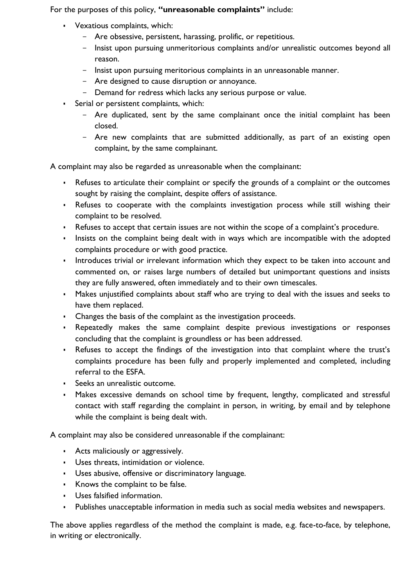For the purposes of this policy, **"unreasonable complaints"** include:

- Vexatious complaints, which:
	- Are obsessive, persistent, harassing, prolific, or repetitious.
	- Insist upon pursuing unmeritorious complaints and/or unrealistic outcomes beyond all reason.
	- Insist upon pursuing meritorious complaints in an unreasonable manner.
	- Are designed to cause disruption or annoyance.
	- Demand for redress which lacks any serious purpose or value.
- Serial or persistent complaints, which:
	- Are duplicated, sent by the same complainant once the initial complaint has been closed.
	- Are new complaints that are submitted additionally, as part of an existing open complaint, by the same complainant.

A complaint may also be regarded as unreasonable when the complainant:

- Refuses to articulate their complaint or specify the grounds of a complaint or the outcomes sought by raising the complaint, despite offers of assistance.
- Refuses to cooperate with the complaints investigation process while still wishing their complaint to be resolved.
- Refuses to accept that certain issues are not within the scope of a complaint's procedure.
- Insists on the complaint being dealt with in ways which are incompatible with the adopted complaints procedure or with good practice.
- Introduces trivial or irrelevant information which they expect to be taken into account and commented on, or raises large numbers of detailed but unimportant questions and insists they are fully answered, often immediately and to their own timescales.
- Makes unjustified complaints about staff who are trying to deal with the issues and seeks to have them replaced.
- Changes the basis of the complaint as the investigation proceeds.
- Repeatedly makes the same complaint despite previous investigations or responses concluding that the complaint is groundless or has been addressed.
- Refuses to accept the findings of the investigation into that complaint where the trust's complaints procedure has been fully and properly implemented and completed, including referral to the ESFA.
- Seeks an unrealistic outcome.
- **Makes excessive demands on school time by frequent, lengthy, complicated and stressful** contact with staff regarding the complaint in person, in writing, by email and by telephone while the complaint is being dealt with.

A complaint may also be considered unreasonable if the complainant:

- Acts maliciously or aggressively.
- Uses threats, intimidation or violence.
- Uses abusive, offensive or discriminatory language.
- Knows the complaint to be false.
- Uses falsified information.
- Publishes unacceptable information in media such as social media websites and newspapers.

The above applies regardless of the method the complaint is made, e.g. face-to-face, by telephone, in writing or electronically.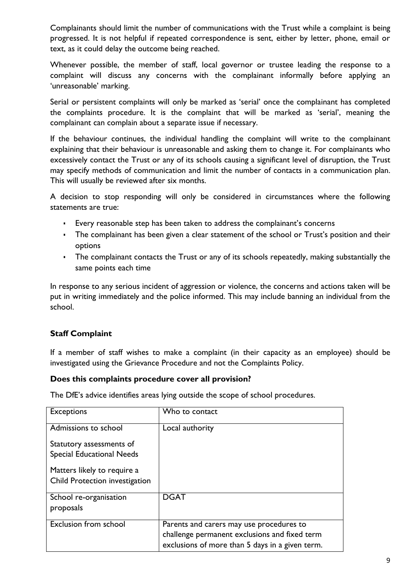Complainants should limit the number of communications with the Trust while a complaint is being progressed. It is not helpful if repeated correspondence is sent, either by letter, phone, email or text, as it could delay the outcome being reached.

Whenever possible, the member of staff, local governor or trustee leading the response to a complaint will discuss any concerns with the complainant informally before applying an 'unreasonable' marking.

Serial or persistent complaints will only be marked as 'serial' once the complainant has completed the complaints procedure. It is the complaint that will be marked as 'serial', meaning the complainant can complain about a separate issue if necessary.

If the behaviour continues, the individual handling the complaint will write to the complainant explaining that their behaviour is unreasonable and asking them to change it. For complainants who excessively contact the Trust or any of its schools causing a significant level of disruption, the Trust may specify methods of communication and limit the number of contacts in a communication plan. This will usually be reviewed after six months.

A decision to stop responding will only be considered in circumstances where the following statements are true:

- Every reasonable step has been taken to address the complainant's concerns
- The complainant has been given a clear statement of the school or Trust's position and their options
- The complainant contacts the Trust or any of its schools repeatedly, making substantially the same points each time

In response to any serious incident of aggression or violence, the concerns and actions taken will be put in writing immediately and the police informed. This may include banning an individual from the school.

## **Staff Complaint**

If a member of staff wishes to make a complaint (in their capacity as an employee) should be investigated using the Grievance Procedure and not the Complaints Policy.

#### **Does this complaints procedure cover all provision?**

The DfE's advice identifies areas lying outside the scope of school procedures.

| <b>Exceptions</b>                                             | Who to contact                                                                                                                               |
|---------------------------------------------------------------|----------------------------------------------------------------------------------------------------------------------------------------------|
| Admissions to school                                          | Local authority                                                                                                                              |
| Statutory assessments of<br><b>Special Educational Needs</b>  |                                                                                                                                              |
| Matters likely to require a<br>Child Protection investigation |                                                                                                                                              |
| School re-organisation<br>proposals                           | <b>DGAT</b>                                                                                                                                  |
| <b>Exclusion from school</b>                                  | Parents and carers may use procedures to<br>challenge permanent exclusions and fixed term<br>exclusions of more than 5 days in a given term. |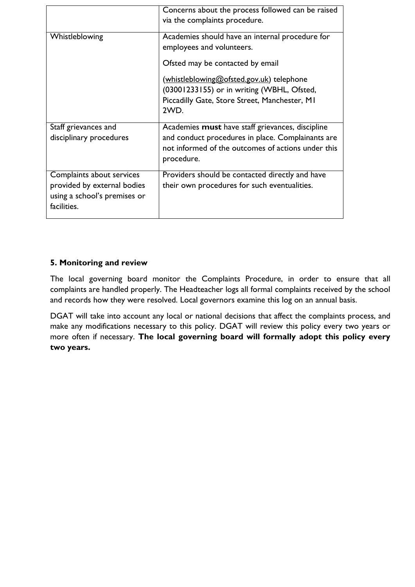|                              | Concerns about the process followed can be raised<br>via the complaints procedure. |
|------------------------------|------------------------------------------------------------------------------------|
| Whistleblowing               | Academies should have an internal procedure for<br>employees and volunteers.       |
|                              | Ofsted may be contacted by email                                                   |
|                              | (whistleblowing@ofsted.gov.uk) telephone                                           |
|                              | (03001233155) or in writing (WBHL, Ofsted,                                         |
|                              | Piccadilly Gate, Store Street, Manchester, MI                                      |
|                              | 2WD.                                                                               |
| Staff grievances and         | Academies must have staff grievances, discipline                                   |
| disciplinary procedures      | and conduct procedures in place. Complainants are                                  |
|                              | not informed of the outcomes of actions under this                                 |
|                              | procedure.                                                                         |
| Complaints about services    | Providers should be contacted directly and have                                    |
| provided by external bodies  | their own procedures for such eventualities.                                       |
| using a school's premises or |                                                                                    |
| facilities.                  |                                                                                    |
|                              |                                                                                    |

#### **5. Monitoring and review**

The local governing board monitor the Complaints Procedure, in order to ensure that all complaints are handled properly. The Headteacher logs all formal complaints received by the school and records how they were resolved. Local governors examine this log on an annual basis.

DGAT will take into account any local or national decisions that affect the complaints process, and make any modifications necessary to this policy. DGAT will review this policy every two years or more often if necessary. **The local governing board will formally adopt this policy every two years.**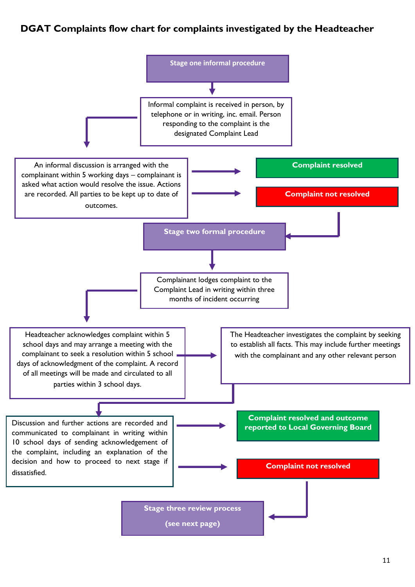# **DGAT Complaints flow chart for complaints investigated by the Headteacher**

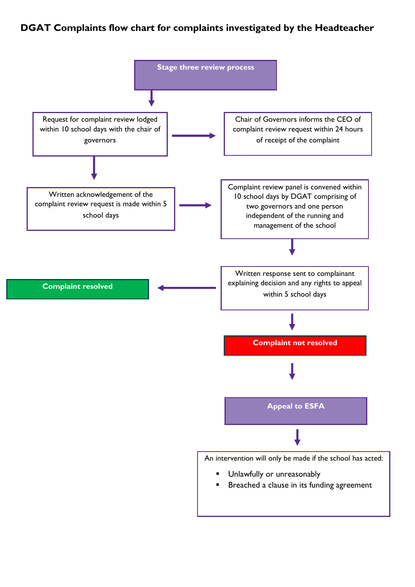# **DGAT Complaints flow chart for complaints investigated by the Headteacher**

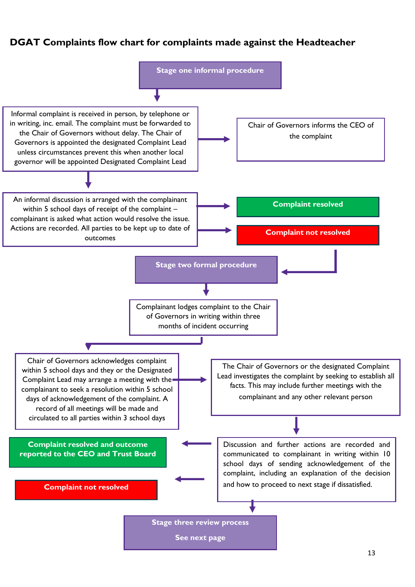# **DGAT Complaints flow chart for complaints made against the Headteacher**

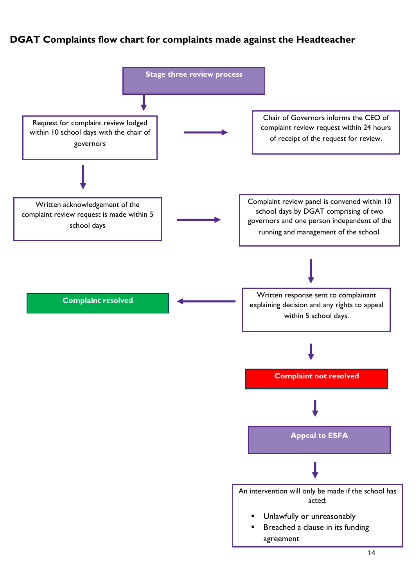# **DGAT Complaints flow chart for complaints made against the Headteacher**

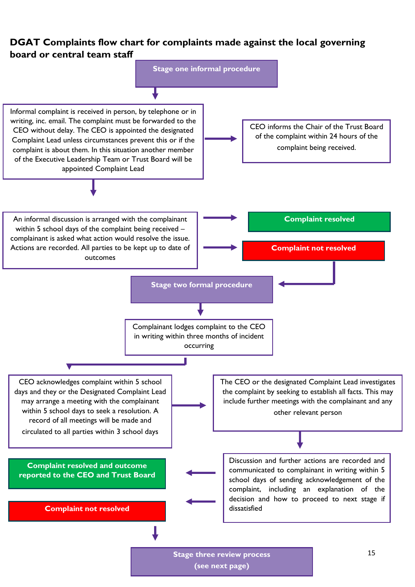# **DGAT Complaints flow chart for complaints made against the local governing board or central team staff**

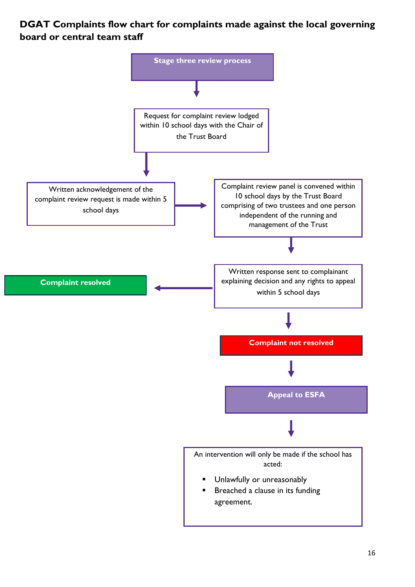# **DGAT Complaints flow chart for complaints made against the local governing board or central team staff**

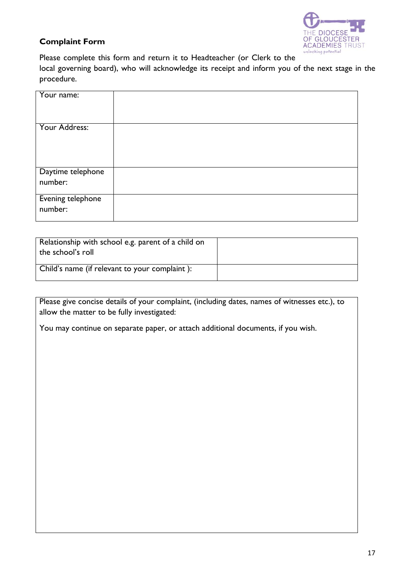

#### **Complaint Form**

Please complete this form and return it to Headteacher (or Clerk to the

local governing board), who will acknowledge its receipt and inform you of the next stage in the procedure.

| Your name:                   |  |
|------------------------------|--|
| Your Address:                |  |
| Daytime telephone            |  |
| number:                      |  |
| Evening telephone<br>number: |  |

| Relationship with school e.g. parent of a child on<br>the school's roll |  |
|-------------------------------------------------------------------------|--|
| Child's name (if relevant to your complaint):                           |  |

Please give concise details of your complaint, (including dates, names of witnesses etc.), to allow the matter to be fully investigated:

You may continue on separate paper, or attach additional documents, if you wish.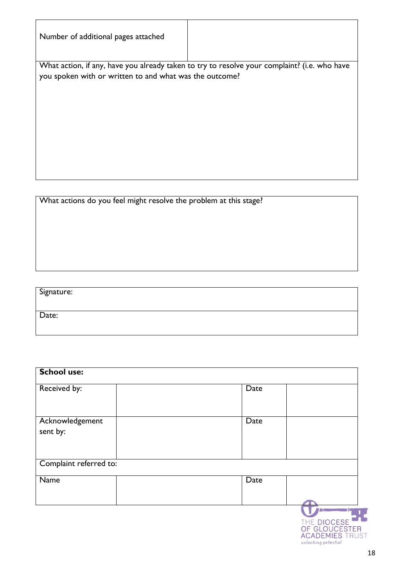| Number of additional pages attached                     |                                                                                              |
|---------------------------------------------------------|----------------------------------------------------------------------------------------------|
|                                                         | What action, if any, have you already taken to try to resolve your complaint? (i.e. who have |
| you spoken with or written to and what was the outcome? |                                                                                              |
|                                                         |                                                                                              |
|                                                         |                                                                                              |
|                                                         |                                                                                              |
|                                                         |                                                                                              |
|                                                         |                                                                                              |
|                                                         |                                                                                              |
|                                                         |                                                                                              |
|                                                         |                                                                                              |
|                                                         |                                                                                              |
|                                                         |                                                                                              |

What actions do you feel might resolve the problem at this stage?

Signature:

Date:

| <b>School use:</b>         |      |                                               |
|----------------------------|------|-----------------------------------------------|
| Received by:               | Date |                                               |
|                            |      |                                               |
| Acknowledgement            | Date |                                               |
| sent by:                   |      |                                               |
|                            |      |                                               |
| Complaint referred to:     |      |                                               |
| $\overline{\mathsf{Name}}$ | Date |                                               |
|                            |      |                                               |
|                            |      |                                               |
|                            |      | THE DIOCESE<br>OF GLOUCESTER                  |
|                            |      | <b>ACADEMIES TRUST</b><br>unlocking potential |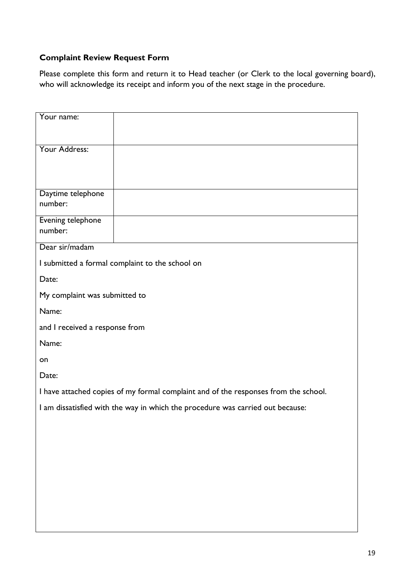### **Complaint Review Request Form**

Please complete this form and return it to Head teacher (or Clerk to the local governing board), who will acknowledge its receipt and inform you of the next stage in the procedure.

| Your name:                                                                     |                                                                                     |  |
|--------------------------------------------------------------------------------|-------------------------------------------------------------------------------------|--|
| Your Address:                                                                  |                                                                                     |  |
| Daytime telephone<br>number:                                                   |                                                                                     |  |
| Evening telephone<br>number:                                                   |                                                                                     |  |
| Dear sir/madam                                                                 |                                                                                     |  |
|                                                                                | I submitted a formal complaint to the school on                                     |  |
| Date:                                                                          |                                                                                     |  |
| My complaint was submitted to                                                  |                                                                                     |  |
| Name:                                                                          |                                                                                     |  |
| and I received a response from                                                 |                                                                                     |  |
| Name:                                                                          |                                                                                     |  |
| on                                                                             |                                                                                     |  |
| Date:                                                                          |                                                                                     |  |
|                                                                                | I have attached copies of my formal complaint and of the responses from the school. |  |
| I am dissatisfied with the way in which the procedure was carried out because: |                                                                                     |  |
|                                                                                |                                                                                     |  |
|                                                                                |                                                                                     |  |
|                                                                                |                                                                                     |  |
|                                                                                |                                                                                     |  |
|                                                                                |                                                                                     |  |
|                                                                                |                                                                                     |  |
|                                                                                |                                                                                     |  |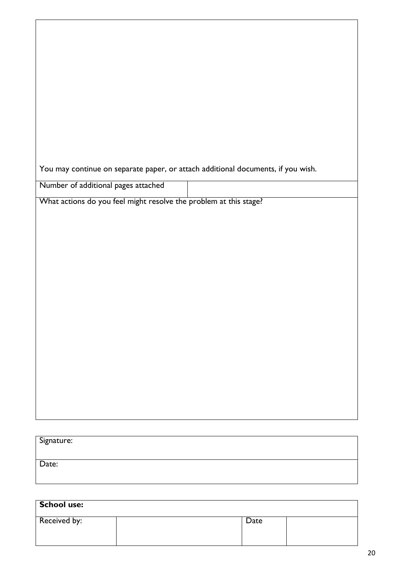You may continue on separate paper, or attach additional documents, if you wish.

Number of additional pages attached

What actions do you feel might resolve the problem at this stage?

| Signature: |  |
|------------|--|
|            |  |
| Date:      |  |
|            |  |

| <b>School use:</b> |      |  |
|--------------------|------|--|
| Received by:       | Date |  |
|                    |      |  |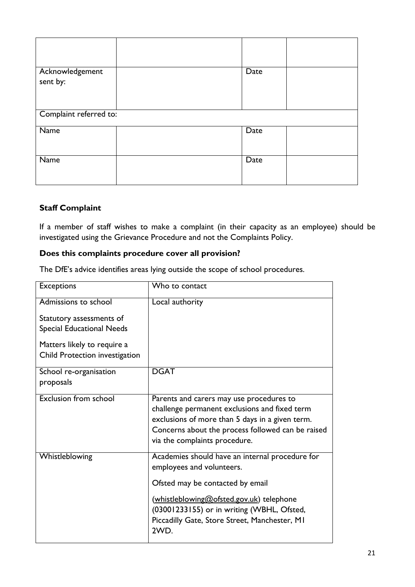| Acknowledgement<br>sent by: |  | Date |  |
|-----------------------------|--|------|--|
| Complaint referred to:      |  |      |  |
| Name                        |  | Date |  |
| Name                        |  | Date |  |

#### **Staff Complaint**

If a member of staff wishes to make a complaint (in their capacity as an employee) should be investigated using the Grievance Procedure and not the Complaints Policy.

#### **Does this complaints procedure cover all provision?**

The DfE's advice identifies areas lying outside the scope of school procedures.

| <b>Exceptions</b>                | Who to contact                                                                                   |
|----------------------------------|--------------------------------------------------------------------------------------------------|
| Admissions to school             | Local authority                                                                                  |
| Statutory assessments of         |                                                                                                  |
| <b>Special Educational Needs</b> |                                                                                                  |
| Matters likely to require a      |                                                                                                  |
| Child Protection investigation   |                                                                                                  |
| School re-organisation           | <b>DGAT</b>                                                                                      |
| proposals                        |                                                                                                  |
| <b>Exclusion from school</b>     | Parents and carers may use procedures to                                                         |
|                                  | challenge permanent exclusions and fixed term<br>exclusions of more than 5 days in a given term. |
|                                  | Concerns about the process followed can be raised                                                |
|                                  | via the complaints procedure.                                                                    |
| Whistleblowing                   | Academies should have an internal procedure for                                                  |
|                                  | employees and volunteers.                                                                        |
|                                  | Ofsted may be contacted by email                                                                 |
|                                  | (whistleblowing@ofsted.gov.uk) telephone                                                         |
|                                  | (03001233155) or in writing (WBHL, Ofsted,<br>Piccadilly Gate, Store Street, Manchester, MI      |
|                                  | 2WD.                                                                                             |